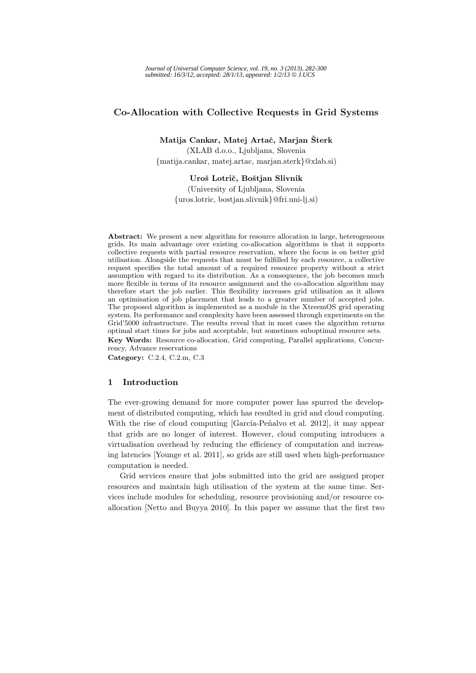# **Co-Allocation with Collective Requests in Grid Systems**

**Matija Cankar, Matej Artaˇc, Marjan Sterk ˇ** (XLAB d.o.o., Ljubljana, Slovenia

{matija.cankar, matej.artac, marjan.sterk}@xlab.si)

**Uroˇs Lotriˇc, Boˇstjan Slivnik**

(University of Ljubljana, Slovenia {uros.lotric, bostjan.slivnik}@fri.uni-lj.si)

**Abstract:** We present a new algorithm for resource allocation in large, heterogeneous grids. Its main advantage over existing co-allocation algorithms is that it supports collective requests with partial resource reservation, where the focus is on better grid utilisation. Alongside the requests that must be fulfilled by each resource, a collective request specifies the total amount of a required resource property without a strict assumption with regard to its distribution. As a consequence, the job becomes much more flexible in terms of its resource assignment and the co-allocation algorithm may therefore start the job earlier. This flexibility increases grid utilisation as it allows an optimisation of job placement that leads to a greater number of accepted jobs. The proposed algorithm is implemented as a module in the XtreemOS grid operating system. Its performance and complexity have been assessed through experiments on the Grid'5000 infrastructure. The results reveal that in most cases the algorithm returns optimal start times for jobs and acceptable, but sometimes suboptimal resource sets. **Key Words:** Resource co-allocation, Grid computing, Parallel applications, Concurrency, Advance reservations

**Category:** C.2.4, C.2.m, C.3

# **1 Introduction**

The ever-growing demand for more computer power has spurred the development of distributed computing, which has resulted in grid and cloud computing. With the rise of cloud computing [García-Peñalvo et al. 2012], it may appear that grids are no longer of interest. However, cloud computing introduces a virtualisation overhead by reducing the efficiency of computation and increasing latencies [Younge et al. 2011], so grids are still used when high-performance computation is needed.

Grid services ensure that jobs submitted into the grid are assigned proper resources and maintain high utilisation of the system at the same time. Services include modules for scheduling, resource provisioning and/or resource coallocation [Netto and Buyya 2010]. In this paper we assume that the first two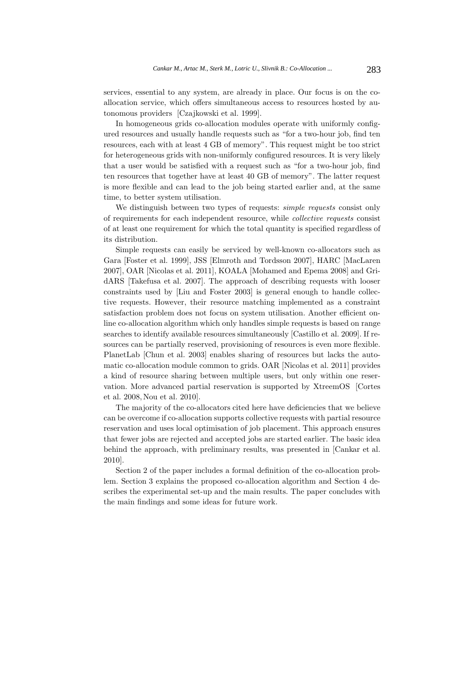services, essential to any system, are already in place. Our focus is on the coallocation service, which offers simultaneous access to resources hosted by autonomous providers [Czajkowski et al. 1999].

In homogeneous grids co-allocation modules operate with uniformly configured resources and usually handle requests such as "for a two-hour job, find ten resources, each with at least 4 GB of memory". This request might be too strict for heterogeneous grids with non-uniformly configured resources. It is very likely that a user would be satisfied with a request such as "for a two-hour job, find ten resources that together have at least 40 GB of memory". The latter request is more flexible and can lead to the job being started earlier and, at the same time, to better system utilisation.

We distinguish between two types of requests: *simple requests* consist only of requirements for each independent resource, while *collective requests* consist of at least one requirement for which the total quantity is specified regardless of its distribution.

Simple requests can easily be serviced by well-known co-allocators such as Gara [Foster et al. 1999], JSS [Elmroth and Tordsson 2007], HARC [MacLaren 2007], OAR [Nicolas et al. 2011], KOALA [Mohamed and Epema 2008] and GridARS [Takefusa et al. 2007]. The approach of describing requests with looser constraints used by [Liu and Foster 2003] is general enough to handle collective requests. However, their resource matching implemented as a constraint satisfaction problem does not focus on system utilisation. Another efficient online co-allocation algorithm which only handles simple requests is based on range searches to identify available resources simultaneously [Castillo et al. 2009]. If resources can be partially reserved, provisioning of resources is even more flexible. PlanetLab [Chun et al. 2003] enables sharing of resources but lacks the automatic co-allocation module common to grids. OAR [Nicolas et al. 2011] provides a kind of resource sharing between multiple users, but only within one reservation. More advanced partial reservation is supported by XtreemOS [Cortes et al. 2008, Nou et al. 2010].

The majority of the co-allocators cited here have deficiencies that we believe can be overcome if co-allocation supports collective requests with partial resource reservation and uses local optimisation of job placement. This approach ensures that fewer jobs are rejected and accepted jobs are started earlier. The basic idea behind the approach, with preliminary results, was presented in [Cankar et al. 2010].

Section 2 of the paper includes a formal definition of the co-allocation problem. Section 3 explains the proposed co-allocation algorithm and Section 4 describes the experimental set-up and the main results. The paper concludes with the main findings and some ideas for future work.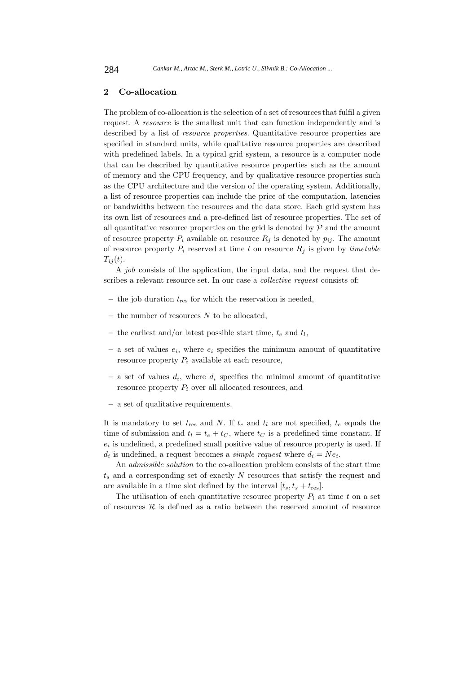# **2 Co-allocation**

The problem of co-allocation is the selection of a set of resources that fulfil a given request. A *resource* is the smallest unit that can function independently and is described by a list of *resource properties*. Quantitative resource properties are specified in standard units, while qualitative resource properties are described with predefined labels. In a typical grid system, a resource is a computer node that can be described by quantitative resource properties such as the amount of memory and the CPU frequency, and by qualitative resource properties such as the CPU architecture and the version of the operating system. Additionally, a list of resource properties can include the price of the computation, latencies or bandwidths between the resources and the data store. Each grid system has its own list of resources and a pre-defined list of resource properties. The set of all quantitative resource properties on the grid is denoted by  $P$  and the amount of resource property  $P_i$  available on resource  $R_i$  is denoted by  $p_{ij}$ . The amount of resource property  $P_i$  reserved at time t on resource  $R_j$  is given by *timetable*  $T_{ij}(t)$ .

A *job* consists of the application, the input data, and the request that describes a relevant resource set. In our case a *collective request* consists of:

- $-$  the job duration  $t_{res}$  for which the reservation is needed,
- **–** the number of resources N to be allocated,
- the earliest and/or latest possible start time,  $t_e$  and  $t_l$ ,
- $-$  a set of values  $e_i$ , where  $e_i$  specifies the minimum amount of quantitative resource property  $P_i$  available at each resource,
- $-$  a set of values  $d_i$ , where  $d_i$  specifies the minimal amount of quantitative resource property  $P_i$  over all allocated resources, and
- **–** a set of qualitative requirements.

It is mandatory to set  $t_{res}$  and N. If  $t_e$  and  $t_l$  are not specified,  $t_e$  equals the time of submission and  $t_l = t_e + t_C$ , where  $t_C$  is a predefined time constant. If  $e_i$  is undefined, a predefined small positive value of resource property is used. If  $d_i$  is undefined, a request becomes a *simple request* where  $d_i = Ne_i$ .

An *admissible solution* to the co-allocation problem consists of the start time  $t<sub>s</sub>$  and a corresponding set of exactly N resources that satisfy the request and are available in a time slot defined by the interval  $[t_s, t_s + t_{\text{res}}]$ .

The utilisation of each quantitative resource property  $P_i$  at time t on a set of resources  $\mathcal R$  is defined as a ratio between the reserved amount of resource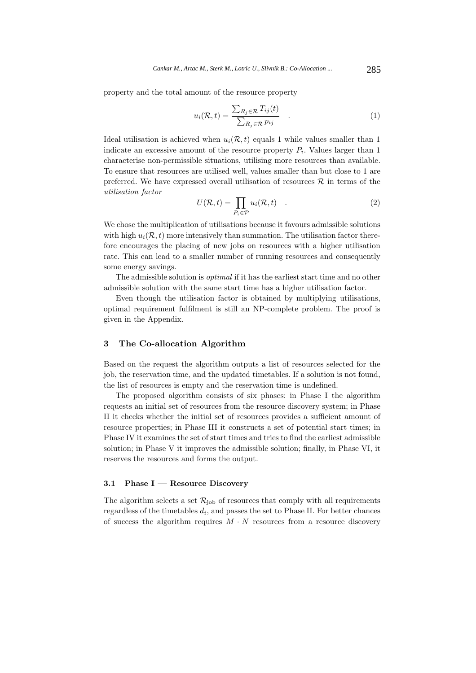property and the total amount of the resource property

$$
u_i(\mathcal{R}, t) = \frac{\sum_{R_j \in \mathcal{R}} T_{ij}(t)}{\sum_{R_j \in \mathcal{R}} p_{ij}} \quad . \tag{1}
$$

Ideal utilisation is achieved when  $u_i(\mathcal{R}, t)$  equals 1 while values smaller than 1 indicate an excessive amount of the resource property  $P_i$ . Values larger than 1 characterise non-permissible situations, utilising more resources than available. To ensure that resources are utilised well, values smaller than but close to 1 are preferred. We have expressed overall utilisation of resources  $\mathcal R$  in terms of the *utilisation factor*

$$
U(\mathcal{R},t) = \prod_{P_i \in \mathcal{P}} u_i(\mathcal{R},t) \quad . \tag{2}
$$

We chose the multiplication of utilisations because it favours admissible solutions with high  $u_i(\mathcal{R}, t)$  more intensively than summation. The utilisation factor therefore encourages the placing of new jobs on resources with a higher utilisation rate. This can lead to a smaller number of running resources and consequently some energy savings.

The admissible solution is *optimal* if it has the earliest start time and no other admissible solution with the same start time has a higher utilisation factor.

Even though the utilisation factor is obtained by multiplying utilisations, optimal requirement fulfilment is still an NP-complete problem. The proof is given in the Appendix.

## **3 The Co-allocation Algorithm**

Based on the request the algorithm outputs a list of resources selected for the job, the reservation time, and the updated timetables. If a solution is not found, the list of resources is empty and the reservation time is undefined.

The proposed algorithm consists of six phases: in Phase I the algorithm requests an initial set of resources from the resource discovery system; in Phase II it checks whether the initial set of resources provides a sufficient amount of resource properties; in Phase III it constructs a set of potential start times; in Phase IV it examines the set of start times and tries to find the earliest admissible solution; in Phase V it improves the admissible solution; finally, in Phase VI, it reserves the resources and forms the output.

### **3.1 Phase I — Resource Discovery**

The algorithm selects a set  $\mathcal{R}_{job}$  of resources that comply with all requirements regardless of the timetables  $d_i$ , and passes the set to Phase II. For better chances of success the algorithm requires  $M \cdot N$  resources from a resource discovery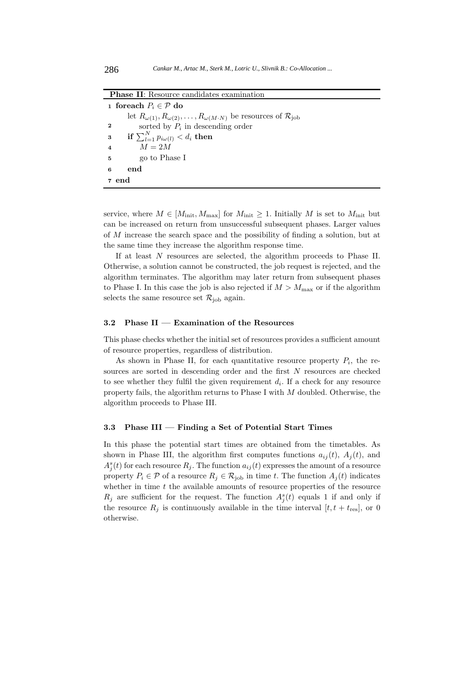**Phase II**: Resource candidates examination

**1 foreach**  $P_i$  ∈  $P$  **do** let  $R_{\omega(1)}, R_{\omega(2)}, \ldots, R_{\omega(M \cdot N)}$  be resources of  $\mathcal{R}_{\text{job}}$ **2** sorted by  $P_i$  in descending order **if**  $\sum_{l=1}^{N} p_{i\omega(l)} < d_i$  then **4**  $M = 2M$ **5** go to Phase I **6 end 7 end**

service, where  $M \in [M_{\text{init}}, M_{\text{max}}]$  for  $M_{\text{init}} \geq 1$ . Initially M is set to  $M_{\text{init}}$  but can be increased on return from unsuccessful subsequent phases. Larger values of M increase the search space and the possibility of finding a solution, but at the same time they increase the algorithm response time.

If at least N resources are selected, the algorithm proceeds to Phase II. Otherwise, a solution cannot be constructed, the job request is rejected, and the algorithm terminates. The algorithm may later return from subsequent phases to Phase I. In this case the job is also rejected if  $M > M_{\text{max}}$  or if the algorithm selects the same resource set  $\mathcal{R}_{\rm job}$  again.

#### **3.2 Phase II — Examination of the Resources**

This phase checks whether the initial set of resources provides a sufficient amount of resource properties, regardless of distribution.

As shown in Phase II, for each quantitative resource property  $P_i$ , the resources are sorted in descending order and the first  $N$  resources are checked to see whether they fulfil the given requirement  $d_i$ . If a check for any resource property fails, the algorithm returns to Phase I with  $M$  doubled. Otherwise, the algorithm proceeds to Phase III.

#### **3.3 Phase III — Finding a Set of Potential Start Times**

In this phase the potential start times are obtained from the timetables. As shown in Phase III, the algorithm first computes functions  $a_{ij}(t)$ ,  $A_i(t)$ , and  $A_j^s(t)$  for each resource  $R_j$ . The function  $a_{ij}(t)$  expresses the amount of a resource property  $P_i \in \mathcal{P}$  of a resource  $R_j \in \mathcal{R}_{\text{job}}$  in time t. The function  $A_i(t)$  indicates whether in time  $t$  the available amounts of resource properties of the resource  $R_j$  are sufficient for the request. The function  $A_i^s(t)$  equals 1 if and only if the resource  $R_j$  is continuously available in the time interval  $[t, t + t_{\text{res}}]$ , or 0 otherwise.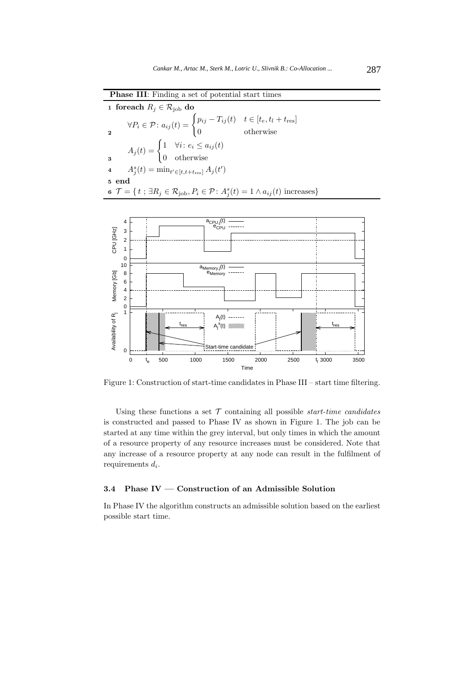| 1 foreach $R_i \in \mathcal{R}_{\text{job}}$ do                                                                                           |                                                                                                                                                      |  |  |  |  |
|-------------------------------------------------------------------------------------------------------------------------------------------|------------------------------------------------------------------------------------------------------------------------------------------------------|--|--|--|--|
|                                                                                                                                           | $\forall P_i \in \mathcal{P} : a_{ij}(t) = \begin{cases} p_{ij} - T_{ij}(t) & t \in [t_e, t_l + t_{\text{res}}] \\ 0 & \text{otherwise} \end{cases}$ |  |  |  |  |
|                                                                                                                                           | $A_j(t) = \begin{cases} 1 & \forall i \colon e_i \leq a_{ij}(t) \\ 0 & \text{otherwise} \end{cases}$                                                 |  |  |  |  |
| 4 $A_j^s(t) = \min_{t' \in [t, t+t_{\text{res}}]} A_j(t')$                                                                                |                                                                                                                                                      |  |  |  |  |
| 5 end                                                                                                                                     |                                                                                                                                                      |  |  |  |  |
| 6 $\mathcal{T} = \{t : \exists R_i \in \mathcal{R}_{\text{job}}, P_i \in \mathcal{P} : A_i^s(t) = 1 \land a_{ij}(t) \text{ increases}\}\$ |                                                                                                                                                      |  |  |  |  |
|                                                                                                                                           |                                                                                                                                                      |  |  |  |  |

**Phase III**: Finding a set of potential start times



Figure 1: Construction of start-time candidates in Phase III – start time filtering.

Using these functions a set  $\mathcal T$  containing all possible *start-time candidates* is constructed and passed to Phase IV as shown in Figure 1. The job can be started at any time within the grey interval, but only times in which the amount of a resource property of any resource increases must be considered. Note that any increase of a resource property at any node can result in the fulfilment of requirements  $d_i$ .

# **3.4 Phase IV — Construction of an Admissible Solution**

In Phase IV the algorithm constructs an admissible solution based on the earliest possible start time.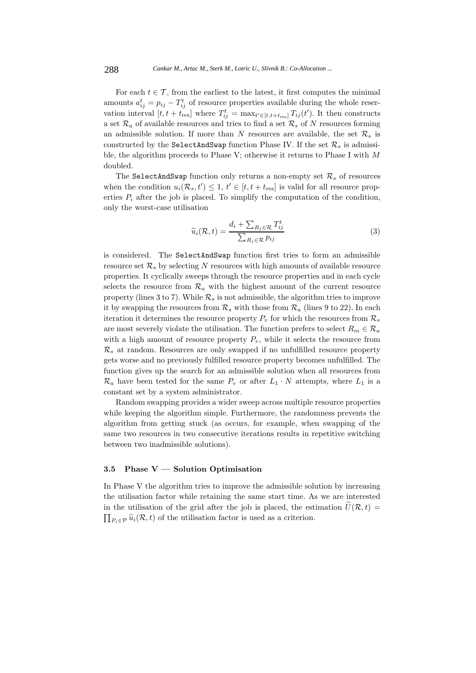For each  $t \in \mathcal{T}$ , from the earliest to the latest, it first computes the minimal amounts  $a_{ij}^t = p_{ij} - T_{ij}^t$  of resource properties available during the whole reservation interval  $[t, t + t_{\text{res}}]$  where  $T_{ij}^t = \max_{t' \in [t, t + t_{\text{res}}]} T_{ij}(t')$ . It then constructs a set  $\mathcal{R}_a$  of available resources and tries to find a set  $\mathcal{R}_s$  of N resources forming an admissible solution. If more than N resources are available, the set  $\mathcal{R}_s$  is constructed by the SelectAndSwap function Phase IV. If the set  $\mathcal{R}_s$  is admissible, the algorithm proceeds to Phase V; otherwise it returns to Phase I with M doubled.

The SelectAndSwap function only returns a non-empty set  $\mathcal{R}_s$  of resources when the condition  $u_i(\mathcal{R}_s, t') \leq 1, t' \in [t, t + t_{\text{res}}]$  is valid for all resource properties  $P_i$  after the job is placed. To simplify the computation of the condition, only the worst-case utilisation

$$
\widetilde{u}_i(\mathcal{R}, t) = \frac{d_i + \sum_{R_j \in \mathcal{R}} T_{ij}^t}{\sum_{R_j \in \mathcal{R}} p_{ij}}
$$
\n(3)

is considered. The SelectAndSwap function first tries to form an admissible resource set  $\mathcal{R}_s$  by selecting N resources with high amounts of available resource properties. It cyclically sweeps through the resource properties and in each cycle selects the resource from  $\mathcal{R}_a$  with the highest amount of the current resource property (lines 3 to 7). While  $\mathcal{R}_s$  is not admissible, the algorithm tries to improve it by swapping the resources from  $\mathcal{R}_s$  with those from  $\mathcal{R}_a$  (lines 9 to 22). In each iteration it determines the resource property  $P_v$  for which the resources from  $\mathcal{R}_s$ are most severely violate the utilisation. The function prefers to select  $R_m \in \mathcal{R}_a$ with a high amount of resource property  $P_v$ , while it selects the resource from  $\mathcal{R}_s$  at random. Resources are only swapped if no unfulfilled resource property gets worse and no previously fulfilled resource property becomes unfulfilled. The function gives up the search for an admissible solution when all resources from  $\mathcal{R}_a$  have been tested for the same  $P_v$  or after  $L_1 \cdot N$  attempts, where  $L_1$  is a constant set by a system administrator.

Random swapping provides a wider sweep across multiple resource properties while keeping the algorithm simple. Furthermore, the randomness prevents the algorithm from getting stuck (as occurs, for example, when swapping of the same two resources in two consecutive iterations results in repetitive switching between two inadmissible solutions).

### **3.5 Phase V — Solution Optimisation**

In Phase V the algorithm tries to improve the admissible solution by increasing the utilisation factor while retaining the same start time. As we are interested in the utilisation of the grid after the job is placed, the estimation  $\tilde{U}(\mathcal{R}, t) =$  $\prod_{P_i \in \mathcal{P}} \widetilde{u}_i(\mathcal{R}, t)$  of the utilisation factor is used as a criterion.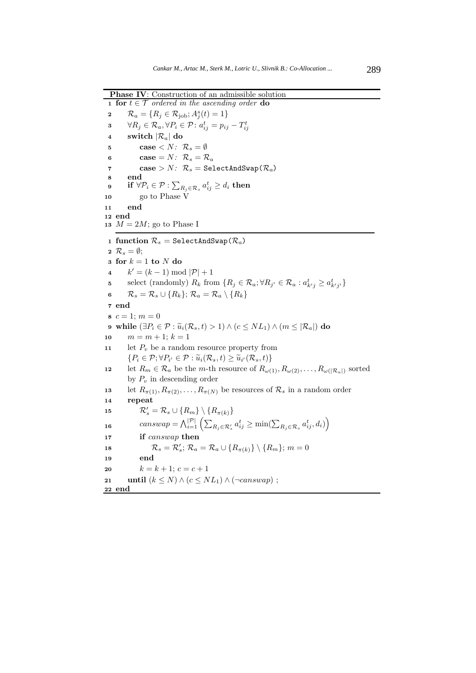**Phase IV:** Construction of an admissible solution

**1 for**  $t \in \mathcal{T}$  *ordered in the ascending order* **do** 2  $\mathcal{R}_a = \{ R_j \in \mathcal{R}_{job}; A_j^s(t) = 1 \}$  $\forall R_j \in \mathcal{R}_a, \forall P_i \in \mathcal{P} \colon a_{ij}^t = p_{ij} - T_{ij}^t$ **4 switch**  $|\mathcal{R}_a|$  **do 5 case**  $\langle N: \mathcal{R}_s = \emptyset \rangle$ **6 case** =  $N: \mathcal{R}_s = \mathcal{R}_a$ **7 case** >  $N$ :  $\mathcal{R}_s$  = SelectAndSwap( $\mathcal{R}_a$ ) **8 end**  $\textbf{if} \,\, \forall \mathcal{P}_i \in \mathcal{P} : \sum_{R_j \in \mathcal{R}_s} a_{ij}^t \geq d_i \,\, \textbf{then}$ **10** go to Phase V **11 end 12 end 13**  $M = 2M$ ; go to Phase I **1 function**  $\mathcal{R}_s$  = SelectAndSwap( $\mathcal{R}_a$ ) **2**  $\mathcal{R}_s = \emptyset$ ; **<sup>3</sup> for** k = 1 **to** N **do** 4  $k' = (k-1) \bmod |\mathcal{P}| + 1$ s select (randomly)  $R_k$  from  $\{R_j \in \mathcal{R}_a; \forall R_{j'} \in \mathcal{R}_a : a_{k'j}^t \geq a_{k'j'}^t\}$ **6**  $\mathcal{R}_s = \mathcal{R}_s \cup \{R_k\}; \mathcal{R}_a = \mathcal{R}_a \setminus \{R_k\}$ **<sup>7</sup> end 8**  $c = 1$ ;  $m = 0$ **9 while**  $(\exists P_i \in \mathcal{P} : \tilde{u}_i(\mathcal{R}_s, t) > 1) \land (c \leq NL_1) \land (m \leq |\mathcal{R}_a|)$  **do**<br> **10**  $m = m + 1$ ;  $k = 1$  $m = m + 1; k = 1$ 11 let  $P_v$  be a random resource property from  $\{P_i \in \mathcal{P}; \forall P_{i'} \in \mathcal{P} : \widetilde{u}_i(\mathcal{R}_s, t) \geq \widetilde{u}_{i'}(\mathcal{R}_s, t)\}\$ 12 let  $R_m \in \mathcal{R}_a$  be the *m*-th resource of  $R_{\omega(1)}, R_{\omega(2)}, \ldots, R_{\omega(|\mathcal{R}_a|)}$  sorted by  $P_v$  in descending order 13 let  $R_{\pi(1)}, R_{\pi(2)}, \ldots, R_{\pi(N)}$  be resources of  $\mathcal{R}_s$  in a random order **<sup>14</sup> repeat** 15  $\mathcal{R}'_s = \mathcal{R}_s \cup \{R_m\} \setminus \{R_{\pi(k)}\}$  $canswap = \bigwedge_{i=1}^{|\mathcal{P}|} \left( \sum_{R_j \in \mathcal{R}'_s} a_{ij}^t \geq \min(\sum_{R_j \in \mathcal{R}_s} a_{ij}^t, d_i) \right)$ **16 <sup>17</sup> if** canswap **then** 18  $\mathcal{R}_s = \mathcal{R}'_s$ ;  $\mathcal{R}_a = \mathcal{R}_a \cup \{R_{\pi(k)}\} \setminus \{R_m\}$ ;  $m = 0$ **<sup>19</sup> end 20**  $k = k + 1; c = c + 1$ **21 until**  $(k \leq N) \wedge (c \leq NL_1) \wedge (\neg \text{canswap})$ ; **<sup>22</sup> end**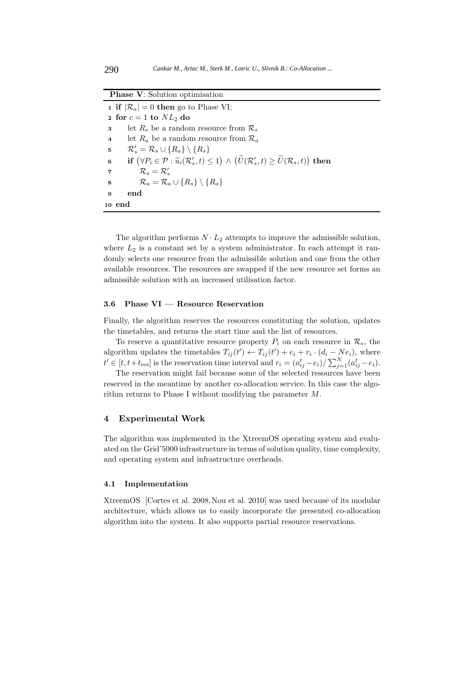| <b>Phase V:</b> Solution optimisation                                                                                                                                   |  |  |  |  |
|-------------------------------------------------------------------------------------------------------------------------------------------------------------------------|--|--|--|--|
| <b>1 if</b> $ \mathcal{R}_a  = 0$ then go to Phase VI;                                                                                                                  |  |  |  |  |
| 2 for $c = 1$ to $NL_2$ do                                                                                                                                              |  |  |  |  |
| let $R_s$ be a random resource from $\mathcal{R}_s$<br>3                                                                                                                |  |  |  |  |
| let $R_a$ be a random resource from $\mathcal{R}_a$<br>$\overline{\mathbf{4}}$                                                                                          |  |  |  |  |
| $\mathcal{R}'_s = \mathcal{R}_s \cup \{R_a\} \setminus \{R_s\}$<br>5                                                                                                    |  |  |  |  |
| if $(\forall P_i \in \mathcal{P} : \widetilde{u}_i(\mathcal{R}'_s, t) \leq 1) \wedge (\widetilde{U}(\mathcal{R}'_s, t) \geq \widetilde{U}(\mathcal{R}_s, t))$ then<br>6 |  |  |  |  |
| $\mathcal{R}_s = \mathcal{R}'_s$<br>7                                                                                                                                   |  |  |  |  |
| $\mathcal{R}_a = \mathcal{R}_a \cup \{R_s\} \setminus \{R_a\}$<br>8                                                                                                     |  |  |  |  |
| end<br>$\mathbf{Q}$                                                                                                                                                     |  |  |  |  |
| 10 end                                                                                                                                                                  |  |  |  |  |

The algorithm performs  $N \cdot L_2$  attempts to improve the admissible solution, where  $L_2$  is a constant set by a system administrator. In each attempt it randomly selects one resource from the admissible solution and one from the other available resources. The resources are swapped if the new resource set forms an admissible solution with an increased utilisation factor.

#### **3.6 Phase VI — Resource Reservation**

Finally, the algorithm reserves the resources constituting the solution, updates the timetables, and returns the start time and the list of resources.

To reserve a quantitative resource property  $P_i$  on each resource in  $\mathcal{R}_s$ , the algorithm updates the timetables  $T_{ij}(t') \leftarrow T_{ij}(t') + e_i + r_i \cdot (d_i - Ne_i)$ , where  $t' \in [t, t+t_{\text{res}}]$  is the reservation time interval and  $r_i = (a_{ij}^t - e_i)/\sum_{j=1}^N (a_{ij}^t - e_i)$ .

The reservation might fail because some of the selected resources have been reserved in the meantime by another co-allocation service. In this case the algorithm returns to Phase I without modifying the parameter M.

#### **4 Experimental Work**

The algorithm was implemented in the XtreemOS operating system and evaluated on the Grid'5000 infrastructure in terms of solution quality, time complexity, and operating system and infrastructure overheads.

#### **4.1 Implementation**

XtreemOS [Cortes et al. 2008,Nou et al. 2010] was used because of its modular architecture, which allows us to easily incorporate the presented co-allocation algorithm into the system. It also supports partial resource reservations.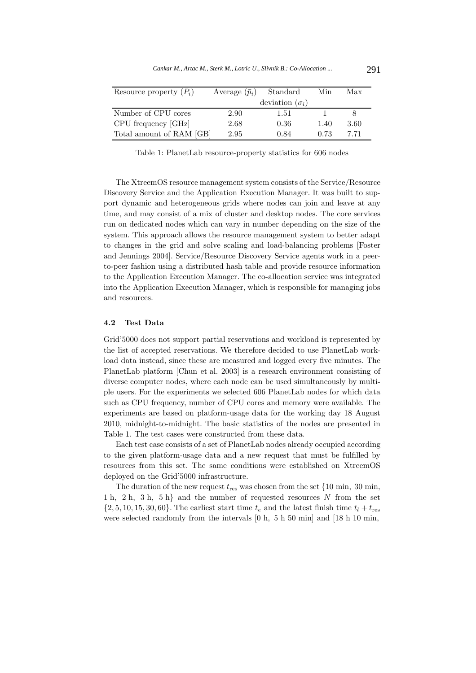| Resource property $(P_i)$ | Average $(\bar{p}_i)$ | Standard               | Min  | Max  |
|---------------------------|-----------------------|------------------------|------|------|
|                           |                       | deviation $(\sigma_i)$ |      |      |
| Number of CPU cores       | 2.90                  | 1.51                   |      |      |
| CPU frequency [GHz]       | 2.68                  | 0.36                   | 1.40 | 3.60 |
| Total amount of RAM [GB]  | 2.95                  | 0.84                   | 0.73 | 7 71 |

Table 1: PlanetLab resource-property statistics for 606 nodes

The XtreemOS resource management system consists of the Service/Resource Discovery Service and the Application Execution Manager. It was built to support dynamic and heterogeneous grids where nodes can join and leave at any time, and may consist of a mix of cluster and desktop nodes. The core services run on dedicated nodes which can vary in number depending on the size of the system. This approach allows the resource management system to better adapt to changes in the grid and solve scaling and load-balancing problems [Foster and Jennings 2004]. Service/Resource Discovery Service agents work in a peerto-peer fashion using a distributed hash table and provide resource information to the Application Execution Manager. The co-allocation service was integrated into the Application Execution Manager, which is responsible for managing jobs and resources.

#### **4.2 Test Data**

Grid'5000 does not support partial reservations and workload is represented by the list of accepted reservations. We therefore decided to use PlanetLab workload data instead, since these are measured and logged every five minutes. The PlanetLab platform [Chun et al. 2003] is a research environment consisting of diverse computer nodes, where each node can be used simultaneously by multiple users. For the experiments we selected 606 PlanetLab nodes for which data such as CPU frequency, number of CPU cores and memory were available. The experiments are based on platform-usage data for the working day 18 August 2010, midnight-to-midnight. The basic statistics of the nodes are presented in Table 1. The test cases were constructed from these data.

Each test case consists of a set of PlanetLab nodes already occupied according to the given platform-usage data and a new request that must be fulfilled by resources from this set. The same conditions were established on XtreemOS deployed on the Grid'5000 infrastructure.

The duration of the new request  $t_{res}$  was chosen from the set  $\{10 \text{ min}, 30 \text{ min},$ 1 h, 2 h, 3 h, 5 h} and the number of requested resources  $N$  from the set  $\{2, 5, 10, 15, 30, 60\}$ . The earliest start time  $t_e$  and the latest finish time  $t_l + t_{\text{res}}$ were selected randomly from the intervals [0 h, 5 h 50 min] and [18 h 10 min,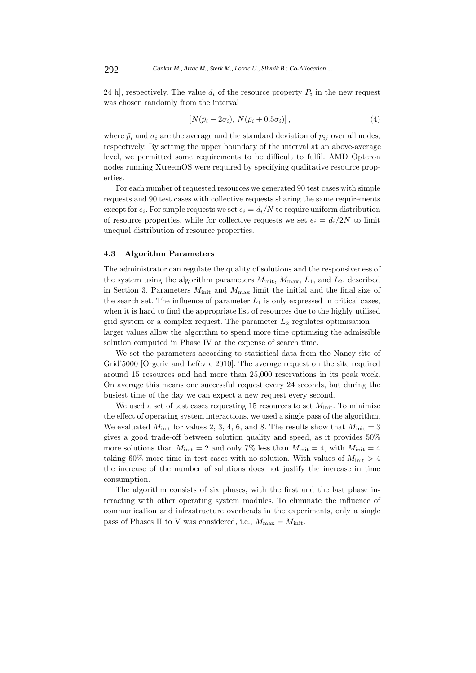24 h], respectively. The value  $d_i$  of the resource property  $P_i$  in the new request was chosen randomly from the interval

$$
[N(\bar{p}_i - 2\sigma_i), N(\bar{p}_i + 0.5\sigma_i)], \qquad (4)
$$

where  $\bar{p}_i$  and  $\sigma_i$  are the average and the standard deviation of  $p_{ij}$  over all nodes, respectively. By setting the upper boundary of the interval at an above-average level, we permitted some requirements to be difficult to fulfil. AMD Opteron nodes running XtreemOS were required by specifying qualitative resource properties.

For each number of requested resources we generated 90 test cases with simple requests and 90 test cases with collective requests sharing the same requirements except for  $e_i$ . For simple requests we set  $e_i = d_i/N$  to require uniform distribution of resource properties, while for collective requests we set  $e_i = d_i/2N$  to limit unequal distribution of resource properties.

# **4.3 Algorithm Parameters**

The administrator can regulate the quality of solutions and the responsiveness of the system using the algorithm parameters  $M_{\text{init}}$ ,  $M_{\text{max}}$ ,  $L_1$ , and  $L_2$ , described in Section 3. Parameters  $M_{\text{init}}$  and  $M_{\text{max}}$  limit the initial and the final size of the search set. The influence of parameter  $L_1$  is only expressed in critical cases, when it is hard to find the appropriate list of resources due to the highly utilised grid system or a complex request. The parameter  $L_2$  regulates optimisation larger values allow the algorithm to spend more time optimising the admissible solution computed in Phase IV at the expense of search time.

We set the parameters according to statistical data from the Nancy site of Grid'5000 [Orgerie and Lefèvre 2010]. The average request on the site required around 15 resources and had more than 25,000 reservations in its peak week. On average this means one successful request every 24 seconds, but during the busiest time of the day we can expect a new request every second.

We used a set of test cases requesting 15 resources to set  $M_{\text{init}}$ . To minimise the effect of operating system interactions, we used a single pass of the algorithm. We evaluated  $M_{\text{init}}$  for values 2, 3, 4, 6, and 8. The results show that  $M_{\text{init}} = 3$ gives a good trade-off between solution quality and speed, as it provides 50% more solutions than  $M_{\text{init}} = 2$  and only 7% less than  $M_{\text{init}} = 4$ , with  $M_{\text{init}} = 4$ taking 60% more time in test cases with no solution. With values of  $M_{\text{init}} > 4$ the increase of the number of solutions does not justify the increase in time consumption.

The algorithm consists of six phases, with the first and the last phase interacting with other operating system modules. To eliminate the influence of communication and infrastructure overheads in the experiments, only a single pass of Phases II to V was considered, i.e.,  $M_{\text{max}} = M_{\text{init}}$ .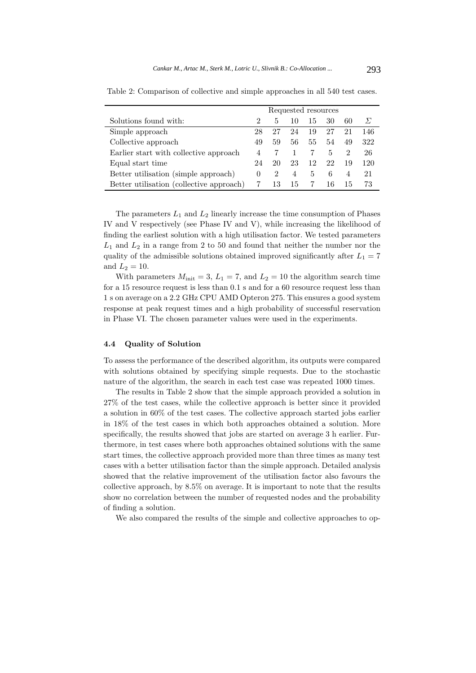|                                          | Requested resources |               |                          |     |    |                |          |
|------------------------------------------|---------------------|---------------|--------------------------|-----|----|----------------|----------|
| Solutions found with:                    | $\mathcal{D}$       | 5.            | $\mathbf{I}(\mathbf{I})$ | -15 | 30 | 60             | $\Sigma$ |
| Simple approach                          | 28                  | 27            | 24                       | 19  | 27 | 21             | 146      |
| Collective approach                      | 49                  | 59            | 56                       | 55  | 54 | 49             | 322      |
| Earlier start with collective approach   | 4                   |               |                          |     | 5  | $\mathcal{D}$  | 26       |
| Equal start time                         | 24                  | 20            | 23                       | 12  | 22 | -19            | 120      |
| Better utilisation (simple approach)     | $\theta$            | $\mathcal{D}$ | 4                        | 5   | 6  | $\overline{4}$ | 21       |
| Better utilisation (collective approach) |                     | 13            | 15                       | 7   | 16 | - G.L          | 73       |

Table 2: Comparison of collective and simple approaches in all 540 test cases.

The parameters  $L_1$  and  $L_2$  linearly increase the time consumption of Phases IV and V respectively (see Phase IV and V), while increasing the likelihood of finding the earliest solution with a high utilisation factor. We tested parameters  $L_1$  and  $L_2$  in a range from 2 to 50 and found that neither the number nor the quality of the admissible solutions obtained improved significantly after  $L_1 = 7$ and  $L_2 = 10$ .

With parameters  $M_{\text{init}} = 3$ ,  $L_1 = 7$ , and  $L_2 = 10$  the algorithm search time for a 15 resource request is less than 0.1 s and for a 60 resource request less than 1 s on average on a 2.2 GHz CPU AMD Opteron 275. This ensures a good system response at peak request times and a high probability of successful reservation in Phase VI. The chosen parameter values were used in the experiments.

#### **4.4 Quality of Solution**

To assess the performance of the described algorithm, its outputs were compared with solutions obtained by specifying simple requests. Due to the stochastic nature of the algorithm, the search in each test case was repeated 1000 times.

The results in Table 2 show that the simple approach provided a solution in 27% of the test cases, while the collective approach is better since it provided a solution in 60% of the test cases. The collective approach started jobs earlier in 18% of the test cases in which both approaches obtained a solution. More specifically, the results showed that jobs are started on average 3 h earlier. Furthermore, in test cases where both approaches obtained solutions with the same start times, the collective approach provided more than three times as many test cases with a better utilisation factor than the simple approach. Detailed analysis showed that the relative improvement of the utilisation factor also favours the collective approach, by 8.5% on average. It is important to note that the results show no correlation between the number of requested nodes and the probability of finding a solution.

We also compared the results of the simple and collective approaches to op-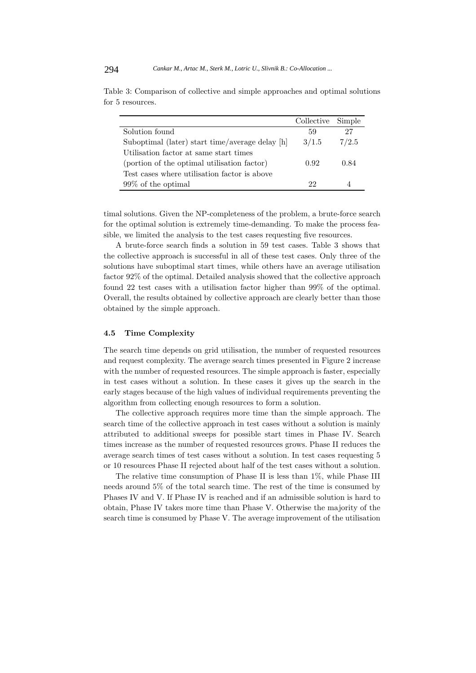|                                                 | Collective Simple |       |
|-------------------------------------------------|-------------------|-------|
| Solution found                                  | 59                | 27    |
| Suboptimal (later) start time/average delay [h] | 3/1.5             | 7/2.5 |
| Utilisation factor at same start times          |                   |       |
| (portion of the optimal utilisation factor)     | 0.92              | 0.84  |
| Test cases where utilisation factor is above    |                   |       |
| $99\%$ of the optimal                           | 22                |       |

Table 3: Comparison of collective and simple approaches and optimal solutions for 5 resources.

timal solutions. Given the NP-completeness of the problem, a brute-force search for the optimal solution is extremely time-demanding. To make the process feasible, we limited the analysis to the test cases requesting five resources.

A brute-force search finds a solution in 59 test cases. Table 3 shows that the collective approach is successful in all of these test cases. Only three of the solutions have suboptimal start times, while others have an average utilisation factor 92% of the optimal. Detailed analysis showed that the collective approach found 22 test cases with a utilisation factor higher than 99% of the optimal. Overall, the results obtained by collective approach are clearly better than those obtained by the simple approach.

### **4.5 Time Complexity**

The search time depends on grid utilisation, the number of requested resources and request complexity. The average search times presented in Figure 2 increase with the number of requested resources. The simple approach is faster, especially in test cases without a solution. In these cases it gives up the search in the early stages because of the high values of individual requirements preventing the algorithm from collecting enough resources to form a solution.

The collective approach requires more time than the simple approach. The search time of the collective approach in test cases without a solution is mainly attributed to additional sweeps for possible start times in Phase IV. Search times increase as the number of requested resources grows. Phase II reduces the average search times of test cases without a solution. In test cases requesting 5 or 10 resources Phase II rejected about half of the test cases without a solution.

The relative time consumption of Phase II is less than 1%, while Phase III needs around 5% of the total search time. The rest of the time is consumed by Phases IV and V. If Phase IV is reached and if an admissible solution is hard to obtain, Phase IV takes more time than Phase V. Otherwise the majority of the search time is consumed by Phase V. The average improvement of the utilisation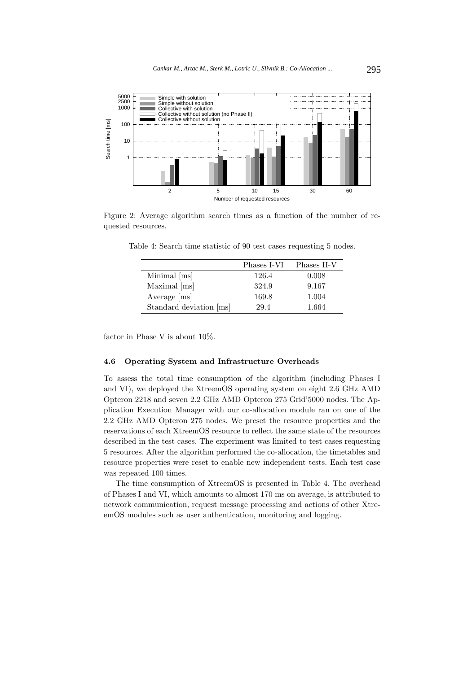

Figure 2: Average algorithm search times as a function of the number of requested resources.

|                         | Phases I-VI | Phases II-V |
|-------------------------|-------------|-------------|
| Minimal [ms]            | 126.4       | 0.008       |
| Maximal [ms]            | 324.9       | 9.167       |
| Average [ms]            | 169.8       | 1.004       |
| Standard deviation [ms] | 29.4        | 1.664       |

Table 4: Search time statistic of 90 test cases requesting 5 nodes.

factor in Phase V is about 10%.

# **4.6 Operating System and Infrastructure Overheads**

To assess the total time consumption of the algorithm (including Phases I and VI), we deployed the XtreemOS operating system on eight 2.6 GHz AMD Opteron 2218 and seven 2.2 GHz AMD Opteron 275 Grid'5000 nodes. The Application Execution Manager with our co-allocation module ran on one of the 2.2 GHz AMD Opteron 275 nodes. We preset the resource properties and the reservations of each XtreemOS resource to reflect the same state of the resources described in the test cases. The experiment was limited to test cases requesting 5 resources. After the algorithm performed the co-allocation, the timetables and resource properties were reset to enable new independent tests. Each test case was repeated 100 times.

The time consumption of XtreemOS is presented in Table 4. The overhead of Phases I and VI, which amounts to almost 170 ms on average, is attributed to network communication, request message processing and actions of other XtreemOS modules such as user authentication, monitoring and logging.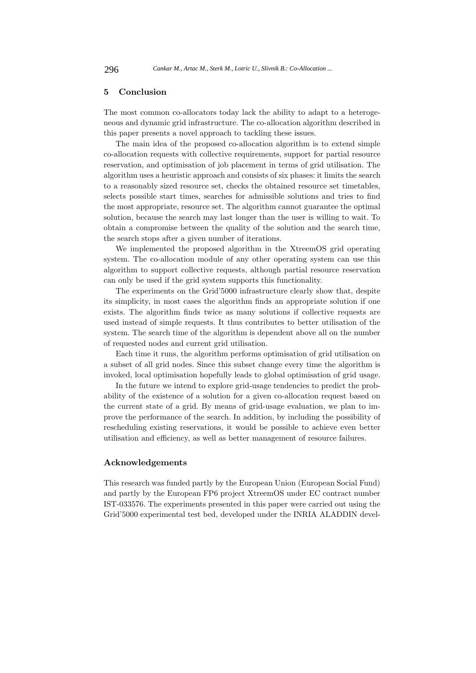### **5 Conclusion**

The most common co-allocators today lack the ability to adapt to a heterogeneous and dynamic grid infrastructure. The co-allocation algorithm described in this paper presents a novel approach to tackling these issues.

The main idea of the proposed co-allocation algorithm is to extend simple co-allocation requests with collective requirements, support for partial resource reservation, and optimisation of job placement in terms of grid utilisation. The algorithm uses a heuristic approach and consists of six phases: it limits the search to a reasonably sized resource set, checks the obtained resource set timetables, selects possible start times, searches for admissible solutions and tries to find the most appropriate, resource set. The algorithm cannot guarantee the optimal solution, because the search may last longer than the user is willing to wait. To obtain a compromise between the quality of the solution and the search time, the search stops after a given number of iterations.

We implemented the proposed algorithm in the XtreemOS grid operating system. The co-allocation module of any other operating system can use this algorithm to support collective requests, although partial resource reservation can only be used if the grid system supports this functionality.

The experiments on the Grid'5000 infrastructure clearly show that, despite its simplicity, in most cases the algorithm finds an appropriate solution if one exists. The algorithm finds twice as many solutions if collective requests are used instead of simple requests. It thus contributes to better utilisation of the system. The search time of the algorithm is dependent above all on the number of requested nodes and current grid utilisation.

Each time it runs, the algorithm performs optimisation of grid utilisation on a subset of all grid nodes. Since this subset change every time the algorithm is invoked, local optimisation hopefully leads to global optimisation of grid usage.

In the future we intend to explore grid-usage tendencies to predict the probability of the existence of a solution for a given co-allocation request based on the current state of a grid. By means of grid-usage evaluation, we plan to improve the performance of the search. In addition, by including the possibility of rescheduling existing reservations, it would be possible to achieve even better utilisation and efficiency, as well as better management of resource failures.

### **Acknowledgements**

This research was funded partly by the European Union (European Social Fund) and partly by the European FP6 project XtreemOS under EC contract number IST-033576. The experiments presented in this paper were carried out using the Grid'5000 experimental test bed, developed under the INRIA ALADDIN devel-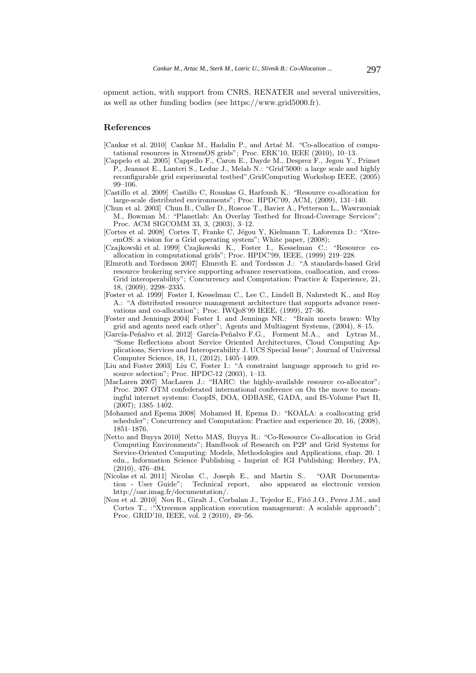opment action, with support from CNRS, RENATER and several universities, as well as other funding bodies (see https://www.grid5000.fr).

#### **References**

- [Cankar et al. 2010] Cankar M., Hadalin P., and Artač M. "Co-allocation of computational resources in XtreemOS grids"; Proc. ERK'10, IEEE (2010), 10–13.
- [Cappelo et al. 2005] Cappello F., Caron E., Dayde M., Desprez F., Jegou Y., Primet P., Jeannot E., Lanteri S., Leduc J., Melab N.: "Grid'5000: a large scale and highly reconfigurable grid experimental testbed",GridComputing Workshop IEEE, (2005) 99–106.
- [Castillo et al. 2009] Castillo C, Rouskas G, Harfoush K.: "Resource co-allocation for large-scale distributed environments"; Proc. HPDC'09, ACM, (2009), 131–140.
- [Chun et al. 2003] Chun B., Culler D., Roscoe T., Bavier A., Petterson L., Wawrzoniak M., Bowman M.: "Planetlab: An Overlay Testbed for Broad-Coverage Services"; Proc. ACM SIGCOMM 33, 3, (2003), 3–12.
- [Cortes et al. 2008] Cortes T, Franke C, Jégou Y, Kielmann T, Laforenza D.: "XtreemOS: a vision for a Grid operating system"; White paper, (2008);
- [Czajkowski et al. 1999] Czajkowski K., Foster I., Kesselman C.: "Resource coallocation in computational grids"; Proc. HPDC'99, IEEE, (1999) 219–228.
- [Elmroth and Tordsson 2007] Elmroth E. and Tordsson J.: "A standards-based Grid resource brokering service supporting advance reservations, coallocation, and cross-Grid interoperability"; Concurrency and Computation: Practice & Experience, 21, 18, (2009), 2298–2335.
- [Foster et al. 1999] Foster I, Kesselman C., Lee C., Lindell B, Nahrstedt K., and Roy A.: "A distributed resource management architecture that supports advance reservations and co-allocation"; Proc. IWQoS'99 IEEE, (1999), 27–36.
- [Foster and Jennings 2004] Foster I. and Jennings NR.: "Brain meets brawn: Why grid and agents need each other"; Agents and Multiagent Systems, (2004), 8–15.
- [García-Peñalvo et al. 2012] García-Peñalvo F.G., Forment M.A., and Lytras M., "Some Reflections about Service Oriented Architectures, Cloud Computing Applications, Services and Interoperability J. UCS Special Issue"; Journal of Universal Computer Science, 18, 11, (2012), 1405–1409.
- [Liu and Foster 2003] Liu C, Foster I.: "A constraint language approach to grid resource selection"; Proc. HPDC-12 (2003), 1–13.
- [MacLaren 2007] MacLaren J.: "HARC: the highly-available resource co-allocator"; Proc. 2007 OTM confederated international conference on On the move to meaningful internet systems: CoopIS, DOA, ODBASE, GADA, and IS-Volume Part II, (2007); 1385–1402.
- [Mohamed and Epema 2008] Mohamed H, Epema D.: "KOALA: a coallocating grid scheduler"; Concurrency and Computation: Practice and experience 20, 16, (2008), 1851–1876.
- [Netto and Buyya 2010] Netto MAS, Buyya R.: "Co-Resource Co-allocation in Grid Computing Environments"; Handbook of Research on P2P and Grid Systems for Service-Oriented Computing: Models, Methodologies and Applications, chap. 20. 1 edn., Information Science Publishing - Imprint of: IGI Publishing: Hershey, PA, (2010), 476–494.
- [Nicolas et al. 2011] Nicolas C., Joseph E., and Martin S.. "OAR Documentation - User Guide"; Technical report, also appeared as electronic version http://oar.imag.fr/documentation/.
- [Nou et al. 2010] Nou R., Giralt J., Corbalan J., Tejedor E., Fito J.O., Perez J.M., and Cortes T., :"Xtreemos application execution management: A scalable approach"; Proc. GRID'10, IEEE, vol. 2 (2010), 49–56.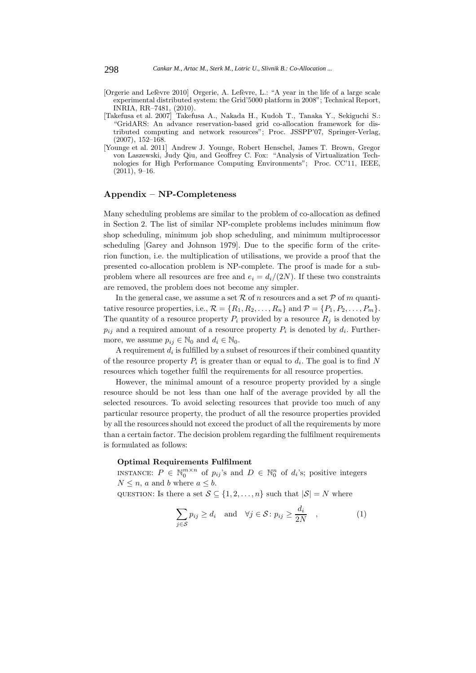- [Orgerie and Lefèvre 2010] Orgerie, A. Lefèvre, L.: "A year in the life of a large scale experimental distributed system: the Grid'5000 platform in 2008"; Technical Report, INRIA, RR–7481, (2010).
- [Takefusa et al. 2007] Takefusa A., Nakada H., Kudoh T., Tanaka Y., Sekiguchi S.: "GridARS: An advance reservation-based grid co-allocation framework for distributed computing and network resources"; Proc. JSSPP'07, Springer-Verlag, (2007), 152–168.
- [Younge et al. 2011] Andrew J. Younge, Robert Henschel, James T. Brown, Gregor von Laszewski, Judy Qiu, and Geoffrey C. Fox: "Analysis of Virtualization Technologies for High Performance Computing Environments"; Proc. CC'11, IEEE,  $(2011), 9-16.$

### **Appendix – NP-Completeness**

Many scheduling problems are similar to the problem of co-allocation as defined in Section 2. The list of similar NP-complete problems includes minimum flow shop scheduling, minimum job shop scheduling, and minimum multiprocessor scheduling [Garey and Johnson 1979]. Due to the specific form of the criterion function, i.e. the multiplication of utilisations, we provide a proof that the presented co-allocation problem is NP-complete. The proof is made for a subproblem where all resources are free and  $e_i = d_i/(2N)$ . If these two constraints are removed, the problem does not become any simpler.

In the general case, we assume a set R of n resources and a set P of m quantitative resource properties, i.e.,  $\mathcal{R} = \{R_1, R_2, \ldots, R_n\}$  and  $\mathcal{P} = \{P_1, P_2, \ldots, P_m\}.$ The quantity of a resource property  $P_i$  provided by a resource  $R_i$  is denoted by  $p_{ij}$  and a required amount of a resource property  $P_i$  is denoted by  $d_i$ . Furthermore, we assume  $p_{ij} \in \mathbb{N}_0$  and  $d_i \in \mathbb{N}_0$ .

A requirement  $d_i$  is fulfilled by a subset of resources if their combined quantity of the resource property  $P_i$  is greater than or equal to  $d_i$ . The goal is to find N resources which together fulfil the requirements for all resource properties.

However, the minimal amount of a resource property provided by a single resource should be not less than one half of the average provided by all the selected resources. To avoid selecting resources that provide too much of any particular resource property, the product of all the resource properties provided by all the resources should not exceed the product of all the requirements by more than a certain factor. The decision problem regarding the fulfilment requirements is formulated as follows:

# **Optimal Requirements Fulfilment**

INSTANCE:  $P \in \mathbb{N}_0^{m \times n}$  of  $p_{ij}$ 's and  $D \in \mathbb{N}_0^n$  of  $d_i$ 's; positive integers  $N \leq n$ , a and b where  $a \leq b$ .

QUESTION: Is there a set  $S \subseteq \{1, 2, ..., n\}$  such that  $|S| = N$  where

$$
\sum_{j \in S} p_{ij} \ge d_i \quad \text{and} \quad \forall j \in S : p_{ij} \ge \frac{d_i}{2N} \quad , \tag{1}
$$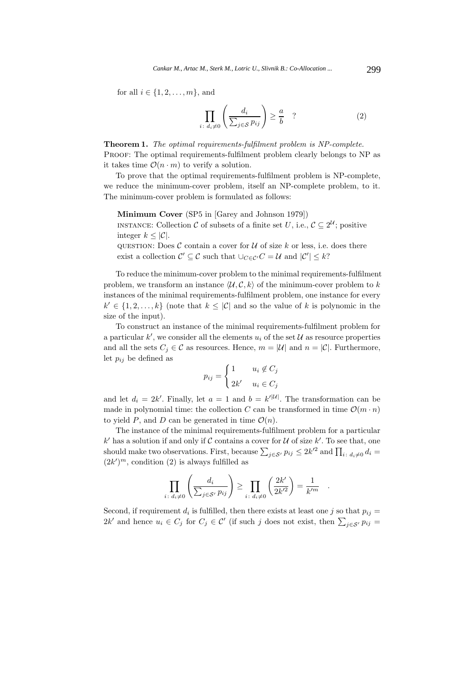for all  $i \in \{1, 2, \ldots, m\}$ , and

$$
\prod_{i \colon d_i \neq 0} \left( \frac{d_i}{\sum_{j \in S} p_{ij}} \right) \geq \frac{a}{b} \quad ? \tag{2}
$$

**Theorem 1.** *The optimal requirements-fulfilment problem is NP-complete.* Proof: The optimal requirements-fulfilment problem clearly belongs to NP as it takes time  $\mathcal{O}(n \cdot m)$  to verify a solution.

To prove that the optimal requirements-fulfilment problem is NP-complete, we reduce the minimum-cover problem, itself an NP-complete problem, to it. The minimum-cover problem is formulated as follows:

**Minimum Cover** (SP5 in [Garey and Johnson 1979])

INSTANCE: Collection  $\mathcal C$  of subsets of a finite set U, i.e.,  $\mathcal C \subseteq 2^{\mathcal U}$ ; positive integer  $k \leq |\mathcal{C}|$ .

QUESTION: Does  $C$  contain a cover for  $U$  of size k or less, i.e. does there exist a collection  $C' \subseteq C$  such that  $\cup_{C \in \mathcal{C}'} C = \mathcal{U}$  and  $|C'| \leq k$ ?

To reduce the minimum-cover problem to the minimal requirements-fulfilment problem, we transform an instance  $\langle \mathcal{U}, \mathcal{C}, k \rangle$  of the minimum-cover problem to k instances of the minimal requirements-fulfilment problem, one instance for every  $k' \in \{1, 2, \ldots, k\}$  (note that  $k \leq |\mathcal{C}|$  and so the value of k is polynomic in the size of the input).

To construct an instance of the minimal requirements-fulfilment problem for a particular  $k'$ , we consider all the elements  $u_i$  of the set  $\mathcal U$  as resource properties and all the sets  $C_j \in \mathcal{C}$  as resources. Hence,  $m = |\mathcal{U}|$  and  $n = |\mathcal{C}|$ . Furthermore, let  $p_{ij}$  be defined as

$$
p_{ij} = \begin{cases} 1 & u_i \notin C_j \\ 2k' & u_i \in C_j \end{cases}
$$

and let  $d_i = 2k'$ . Finally, let  $a = 1$  and  $b = k'^{|\mathcal{U}|}$ . The transformation can be made in polynomial time: the collection C can be transformed in time  $\mathcal{O}(m \cdot n)$ to yield P, and D can be generated in time  $\mathcal{O}(n)$ .

The instance of the minimal requirements-fulfilment problem for a particular k' has a solution if and only if C contains a cover for U of size  $k'$ . To see that, one should make two observations. First, because  $\sum_{j \in S'} p_{ij} \leq 2k'^2$  and  $\prod_{i : d_i \neq 0} d_i =$  $(2k')^m$ , condition (2) is always fulfilled as

$$
\prod_{i\colon d_i\neq 0}\left(\frac{d_i}{\sum_{j\in\mathcal{S}'}p_{ij}}\right)\geq \prod_{i\colon d_i\neq 0}\left(\frac{2k'}{2k'^2}\right)=\frac{1}{k'^m}.
$$

Second, if requirement  $d_i$  is fulfilled, then there exists at least one j so that  $p_{ij} =$  $2k'$  and hence  $u_i \in C_j$  for  $C_j \in \mathcal{C}'$  (if such j does not exist, then  $\sum_{j \in \mathcal{S}'} p_{ij} =$